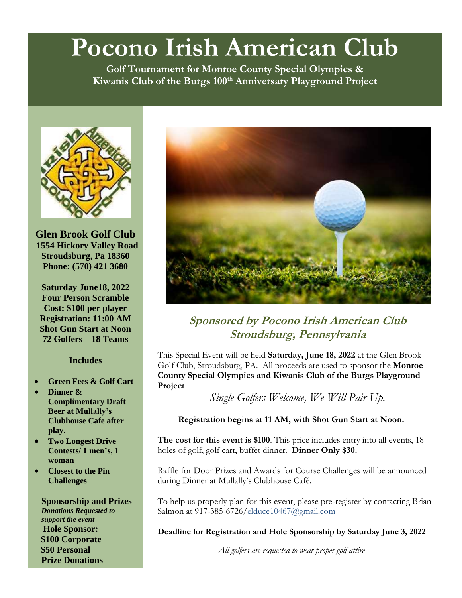# **Pocono Irish American Club**

**Golf Tournament for Monroe County Special Olympics & Kiwanis Club of the Burgs 100th Anniversary Playground Project**



**Glen Brook Golf Club 1554 Hickory Valley Road Stroudsburg, Pa 18360 Phone: (570) 421 3680**

**Saturday June18, 2022 Four Person Scramble Cost: \$100 per player Registration: 11:00 AM Shot Gun Start at Noon 72 Golfers – 18 Teams**

#### **Includes**

- **Green Fees & Golf Cart**
- **Dinner & Complimentary Draft Beer at Mullally's Clubhouse Cafe after play.**
- **Two Longest Drive Contests/ 1 men's, 1 woman**
- **Closest to the Pin Challenges**

**Sponsorship and Prizes** *Donations Requested to support the event*  **Hole Sponsor: \$100 Corporate \$50 Personal Prize Donations**



**Sponsored by Pocono Irish American Club Stroudsburg, Pennsylvania**

This Special Event will be held **Saturday, June 18, 2022** at the Glen Brook Golf Club, Stroudsburg, PA. All proceeds are used to sponsor the **Monroe County Special Olympics and Kiwanis Club of the Burgs Playground Project**

*Single Golfers Welcome, We Will Pair Up.*

#### **Registration begins at 11 AM, with Shot Gun Start at Noon.**

**The cost for this event is \$100**. This price includes entry into all events, 18 holes of golf, golf cart, buffet dinner. **Dinner Only \$30.** 

Raffle for Door Prizes and Awards for Course Challenges will be announced during Dinner at Mullally's Clubhouse Café.

To help us properly plan for this event, please pre-register by contacting Brian Salmon at 917-385-6726/elduce10467@gmail.com

**Deadline for Registration and Hole Sponsorship by Saturday June 3, 2022**

*All golfers are requested to wear proper golf attire*